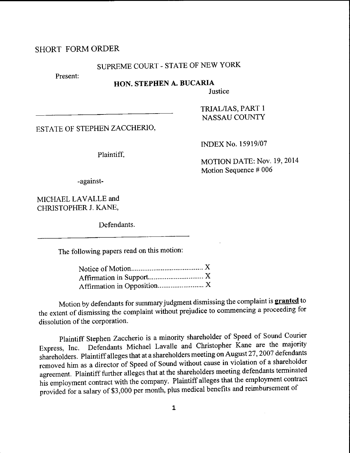## SHORT FORMORDER

## SUPREME COURT - STATE OF NEW YORK

Present:

## HON. STEPHEN A. BUCARIA

Justice

TRIALAAS, PART I NASSAU COUNTY

ESTATE OF STEPHEN ZACCHERIO,

Plaintiff.

INDEX No. 15919/07

MOTION DATE: Nov. 19,2014 Motion Sequence # 006

-against-

MICHAEL LAVALLE and CHRISTOPHERJ. KANE,

Defendants.

The following papers read on this motion:

Motion by defendants for summary judgment dismissing the complaint is **granted** to the extent of dismissing the complaint without prejudice to commencing a proceeding for dissolution of the corporation.

Plaintiff Stephen zaccherio is a minority shareholder of speed of sound courier Express, Inc. Defendants Michael Lavalle and Christopher Kane are the majority shareholders. Plaintiff alleges that at a shareholders meeting on August 27, 2007 defendants removed him as a director of speed of sound without cause in violation of a shareholder agreement. Plaintiff further alleges that at the shareholders meeting defendants terminated his employment contract with the company. Plaintiff alleges that the employment contract provided for a salary of \$3,000 per month, plus medical benefits and reimbursement of